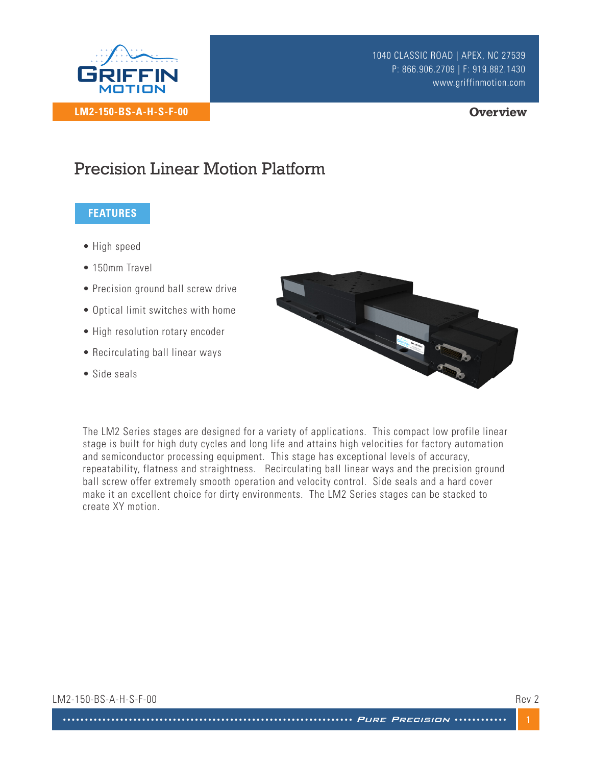

### **Overview**

## Precision Linear Motion Platform

### **FEATURES**

- High speed
- 150mm Travel
- Precision ground ball screw drive
- Optical limit switches with home
- High resolution rotary encoder
- Recirculating ball linear ways
- Side seals



The LM2 Series stages are designed for a variety of applications. This compact low profile linear stage is built for high duty cycles and long life and attains high velocities for factory automation and semiconductor processing equipment. This stage has exceptional levels of accuracy, repeatability, flatness and straightness. Recirculating ball linear ways and the precision ground ball screw offer extremely smooth operation and velocity control. Side seals and a hard cover make it an excellent choice for dirty environments. The LM2 Series stages can be stacked to create XY motion.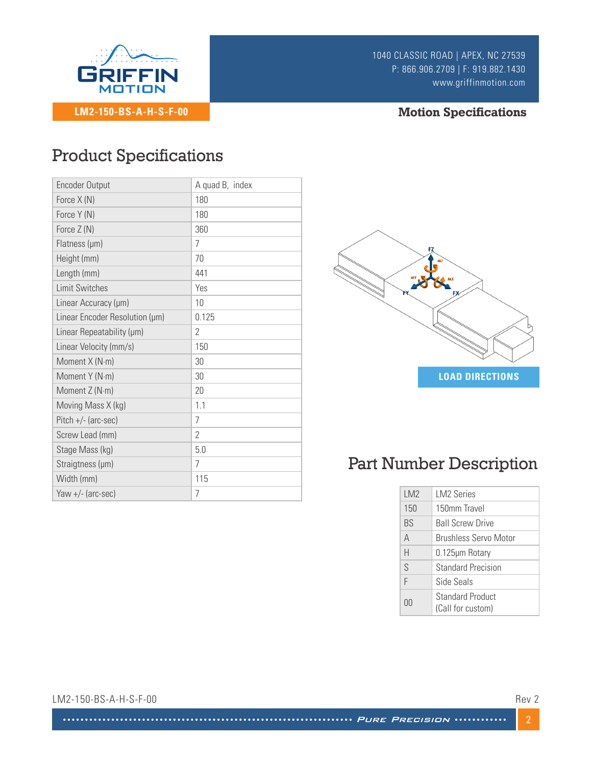

## **Motion Specifications**

# Product Specifications

| <b>Encoder Output</b>          | A quad B, index |                                      |
|--------------------------------|-----------------|--------------------------------------|
| Force X (N)                    | 180             |                                      |
| Force Y (N)                    | 180             |                                      |
| Force Z (N)                    | 360             |                                      |
| Flatness (µm)                  | $\overline{7}$  | FZ                                   |
| Height (mm)                    | 70              |                                      |
| Length (mm)                    | 441             |                                      |
| <b>Limit Switches</b>          | Yes             | F٧                                   |
| Linear Accuracy (µm)           | 10              |                                      |
| Linear Encoder Resolution (µm) | 0.125           |                                      |
| Linear Repeatability (µm)      | $\overline{2}$  |                                      |
| Linear Velocity (mm/s)         | 150             |                                      |
| Moment X (N·m)                 | 30              |                                      |
| Moment Y (N·m)                 | 30              | <b>LOAD DI</b>                       |
| Moment Z (N·m)                 | 20              |                                      |
| Moving Mass X (kg)             | 1.1             |                                      |
| $Pitch +/- (arc-sec)$          | 7               |                                      |
| Screw Lead (mm)                | $\overline{2}$  |                                      |
| Stage Mass (kg)                | 5.0             |                                      |
| Straigtness (µm)               | 7               | <b>Part Number Des</b>               |
| Width (mm)                     | 115             |                                      |
| Yaw +/- (arc-sec)              | 7               | LM <sub>2</sub><br><b>LM2 Series</b> |
|                                |                 |                                      |



# Part Number Description

| LM <sub>2</sub> | <b>IM2 Series</b>                            |
|-----------------|----------------------------------------------|
| 150             | 150mm Travel                                 |
| <b>BS</b>       | <b>Ball Screw Drive</b>                      |
| A               | Brushless Servo Motor                        |
| Н               | 0.125µm Rotary                               |
| S               | <b>Standard Precision</b>                    |
| F               | Side Seals                                   |
| 00              | <b>Standard Product</b><br>(Call for custom) |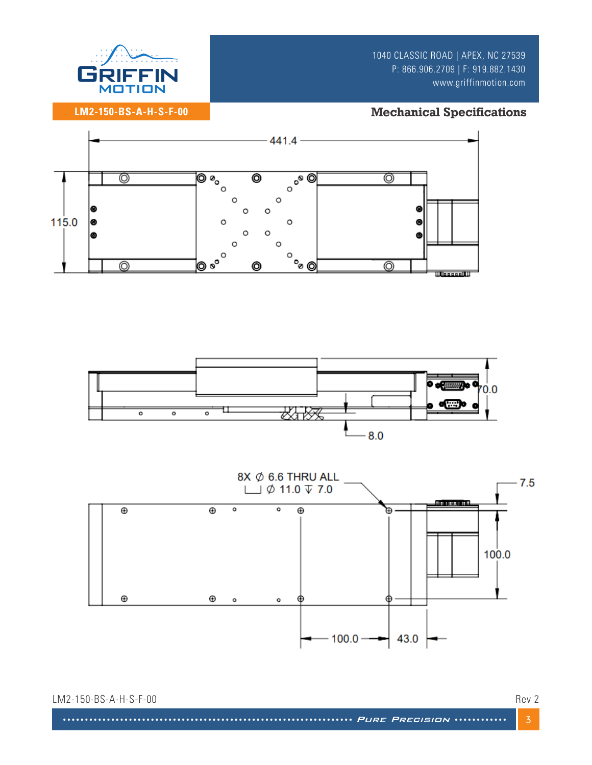

## **Mechanical Specifications**

**LM2-150-BS-A-H-S-F-00**





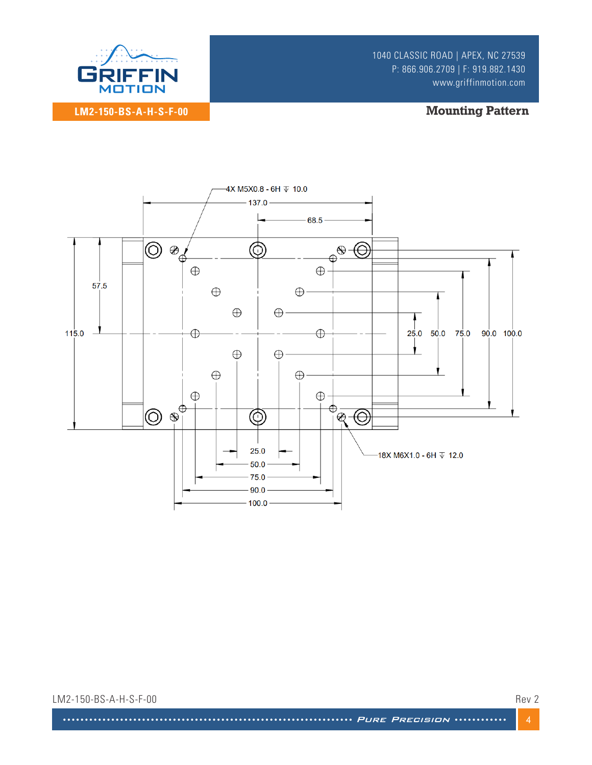

**Mounting Pattern** 



LM2-150-BS-A-H-S-F-00

Rev 2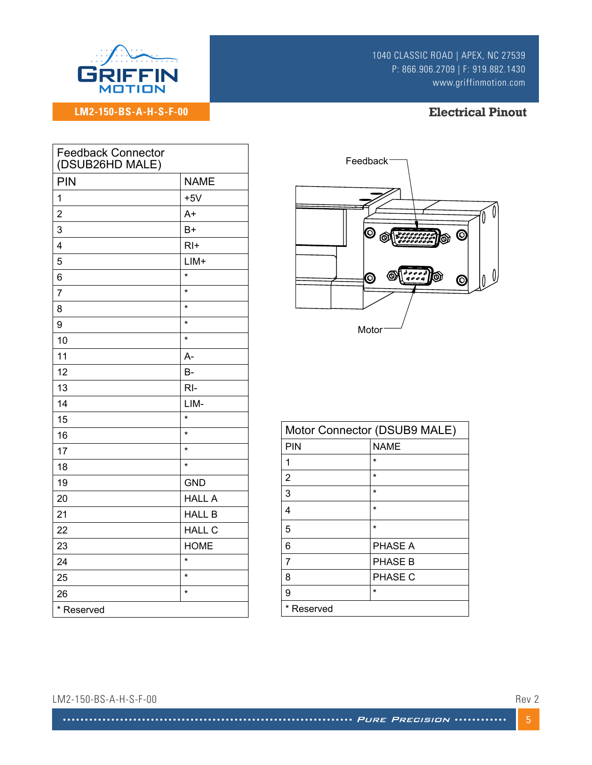

**LM2-150-BS-A-H-S-F-00**

1040 CLASSIC ROAD | APEX, NC 27539 P: 866.906.2709 | F: 919.882.1430 www.griffinmotion.com

## **Electrical Pinout**

| <b>Feedback Connector</b><br>(DSUB26HD MALE) |               |  |
|----------------------------------------------|---------------|--|
| <b>PIN</b>                                   | <b>NAME</b>   |  |
| 1                                            | $+5V$         |  |
| $\overline{2}$                               | $A+$          |  |
| 3                                            | $B+$          |  |
| $\overline{\mathbf{4}}$                      | $R$  +        |  |
| 5                                            | $LIM+$        |  |
| 6                                            | $\star$       |  |
| $\overline{7}$                               | $\star$       |  |
| 8                                            | $\star$       |  |
| 9                                            | $\star$       |  |
| 10                                           | $\star$       |  |
| 11                                           | A-            |  |
| 12                                           | B-            |  |
| 13                                           | $RI-$         |  |
| 14                                           | LIM-          |  |
| 15                                           | $\star$       |  |
| 16                                           | $\star$       |  |
| 17                                           | $\star$       |  |
| 18                                           | $\star$       |  |
| 19                                           | <b>GND</b>    |  |
| 20                                           | <b>HALL A</b> |  |
| 21                                           | <b>HALL B</b> |  |
| 22                                           | <b>HALL C</b> |  |
| 23                                           | <b>HOME</b>   |  |
| 24                                           | $\star$       |  |
| 25                                           | $\star$       |  |
| 26                                           | $\star$       |  |
| * Reserved                                   |               |  |



| Motor Connector (DSUB9 MALE) |                |  |
|------------------------------|----------------|--|
| PIN                          | <b>NAME</b>    |  |
| 1                            | $\star$        |  |
| 2                            | $\star$        |  |
| 3                            | $\star$        |  |
| 4                            | $\star$        |  |
| 5                            | $\star$        |  |
| 6                            | PHASE A        |  |
| 7                            | <b>PHASE B</b> |  |
| 8                            | PHASE C        |  |
| 9                            | $\star$        |  |
| *<br>Reserved                |                |  |

#### LM2-150-BS-A-H-S-F-00